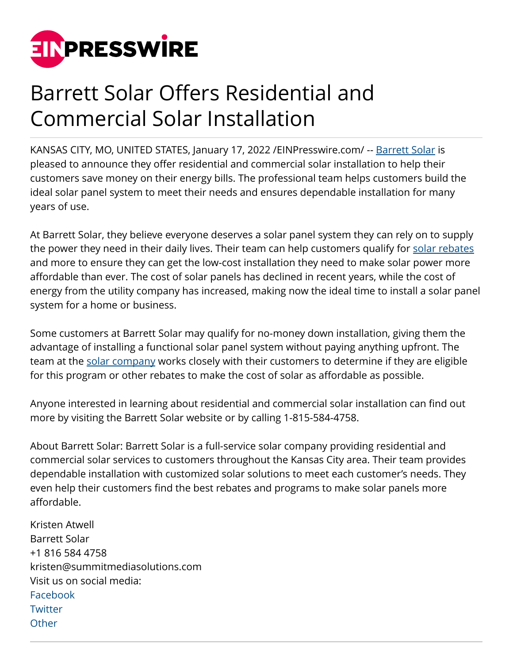

## Barrett Solar Offers Residential and Commercial Solar Installation

KANSAS CITY, MO, UNITED STATES, January 17, 2022 [/EINPresswire.com/](http://www.einpresswire.com) -- [Barrett Solar](https://maps.google.com/maps?&cid=3156169023310250491) is pleased to announce they offer residential and commercial solar installation to help their customers save money on their energy bills. The professional team helps customers build the ideal solar panel system to meet their needs and ensures dependable installation for many years of use.

At Barrett Solar, they believe everyone deserves a solar panel system they can rely on to supply the power they need in their daily lives. Their team can help customers qualify for [solar rebates](https://barrettsolar.com/solar-info/kcpl-solar-rebates/) and more to ensure they can get the low-cost installation they need to make solar power more affordable than ever. The cost of solar panels has declined in recent years, while the cost of energy from the utility company has increased, making now the ideal time to install a solar panel system for a home or business.

Some customers at Barrett Solar may qualify for no-money down installation, giving them the advantage of installing a functional solar panel system without paying anything upfront. The team at the [solar company](https://barrettsolar.com/) works closely with their customers to determine if they are eligible for this program or other rebates to make the cost of solar as affordable as possible.

Anyone interested in learning about residential and commercial solar installation can find out more by visiting the Barrett Solar website or by calling 1-815-584-4758.

About Barrett Solar: Barrett Solar is a full-service solar company providing residential and commercial solar services to customers throughout the Kansas City area. Their team provides dependable installation with customized solar solutions to meet each customer's needs. They even help their customers find the best rebates and programs to make solar panels more affordable.

Kristen Atwell Barrett Solar +1 816 584 4758 kristen@summitmediasolutions.com Visit us on social media: [Facebook](https://www.facebook.com/barrettsolarkc/) **[Twitter](https://twitter.com/BarrettSolar) [Other](https://www.instagram.com/barrettsolarkc/)**